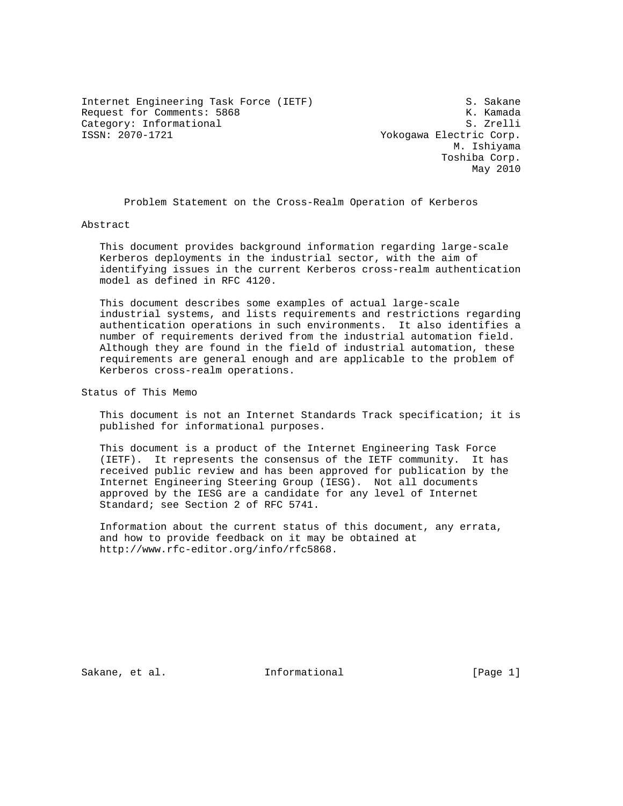Internet Engineering Task Force (IETF) S. Sakane Request for Comments: 5868 K. Kamada Category: Informational S. Zrelli

Yokogawa Electric Corp. M. Ishiyama Toshiba Corp. May 2010

Problem Statement on the Cross-Realm Operation of Kerberos

Abstract

 This document provides background information regarding large-scale Kerberos deployments in the industrial sector, with the aim of identifying issues in the current Kerberos cross-realm authentication model as defined in RFC 4120.

 This document describes some examples of actual large-scale industrial systems, and lists requirements and restrictions regarding authentication operations in such environments. It also identifies a number of requirements derived from the industrial automation field. Although they are found in the field of industrial automation, these requirements are general enough and are applicable to the problem of Kerberos cross-realm operations.

Status of This Memo

 This document is not an Internet Standards Track specification; it is published for informational purposes.

 This document is a product of the Internet Engineering Task Force (IETF). It represents the consensus of the IETF community. It has received public review and has been approved for publication by the Internet Engineering Steering Group (IESG). Not all documents approved by the IESG are a candidate for any level of Internet Standard; see Section 2 of RFC 5741.

 Information about the current status of this document, any errata, and how to provide feedback on it may be obtained at http://www.rfc-editor.org/info/rfc5868.

Sakane, et al. 100 mm informational [Page 1]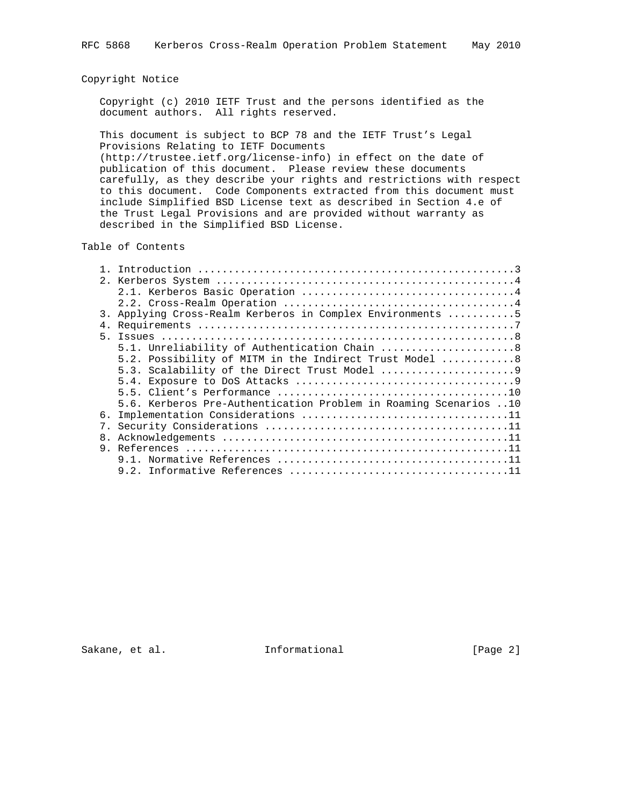### Copyright Notice

 Copyright (c) 2010 IETF Trust and the persons identified as the document authors. All rights reserved.

 This document is subject to BCP 78 and the IETF Trust's Legal Provisions Relating to IETF Documents (http://trustee.ietf.org/license-info) in effect on the date of publication of this document. Please review these documents carefully, as they describe your rights and restrictions with respect to this document. Code Components extracted from this document must include Simplified BSD License text as described in Section 4.e of the Trust Legal Provisions and are provided without warranty as

#### Table of Contents

described in the Simplified BSD License.

| 2.<br>3. Applying Cross-Realm Kerberos in Complex Environments 5<br>5<br>5.1. Unreliability of Authentication Chain  8<br>5.2. Possibility of MITM in the Indirect Trust Model 8 |  |
|----------------------------------------------------------------------------------------------------------------------------------------------------------------------------------|--|
|                                                                                                                                                                                  |  |
|                                                                                                                                                                                  |  |
|                                                                                                                                                                                  |  |
|                                                                                                                                                                                  |  |
|                                                                                                                                                                                  |  |
|                                                                                                                                                                                  |  |
|                                                                                                                                                                                  |  |
|                                                                                                                                                                                  |  |
|                                                                                                                                                                                  |  |
|                                                                                                                                                                                  |  |
|                                                                                                                                                                                  |  |
| 5.6. Kerberos Pre-Authentication Problem in Roaming Scenarios 10                                                                                                                 |  |
| б.                                                                                                                                                                               |  |
| 7 <sub>1</sub>                                                                                                                                                                   |  |
| 8.                                                                                                                                                                               |  |
|                                                                                                                                                                                  |  |
|                                                                                                                                                                                  |  |
|                                                                                                                                                                                  |  |

Sakane, et al. 1nformational [Page 2]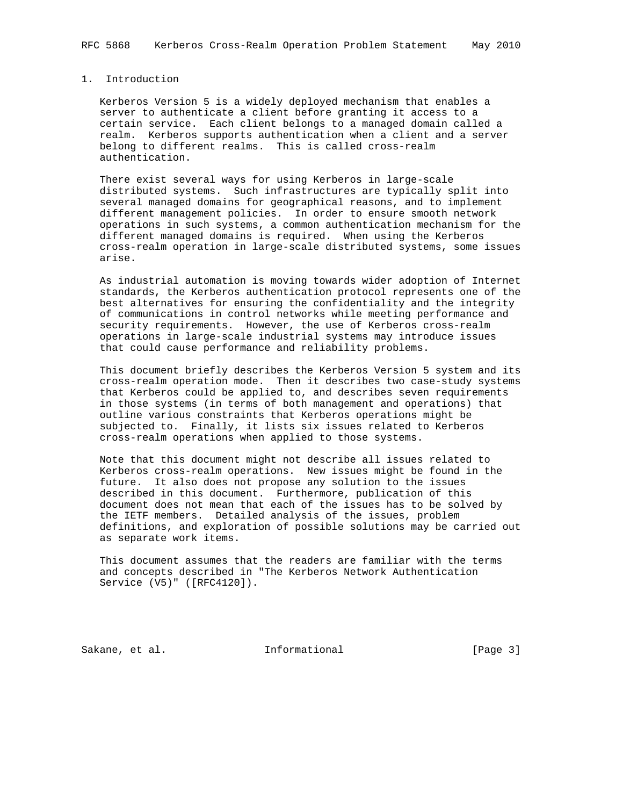# 1. Introduction

 Kerberos Version 5 is a widely deployed mechanism that enables a server to authenticate a client before granting it access to a certain service. Each client belongs to a managed domain called a realm. Kerberos supports authentication when a client and a server belong to different realms. This is called cross-realm authentication.

 There exist several ways for using Kerberos in large-scale distributed systems. Such infrastructures are typically split into several managed domains for geographical reasons, and to implement different management policies. In order to ensure smooth network operations in such systems, a common authentication mechanism for the different managed domains is required. When using the Kerberos cross-realm operation in large-scale distributed systems, some issues arise.

 As industrial automation is moving towards wider adoption of Internet standards, the Kerberos authentication protocol represents one of the best alternatives for ensuring the confidentiality and the integrity of communications in control networks while meeting performance and security requirements. However, the use of Kerberos cross-realm operations in large-scale industrial systems may introduce issues that could cause performance and reliability problems.

 This document briefly describes the Kerberos Version 5 system and its cross-realm operation mode. Then it describes two case-study systems that Kerberos could be applied to, and describes seven requirements in those systems (in terms of both management and operations) that outline various constraints that Kerberos operations might be subjected to. Finally, it lists six issues related to Kerberos cross-realm operations when applied to those systems.

 Note that this document might not describe all issues related to Kerberos cross-realm operations. New issues might be found in the future. It also does not propose any solution to the issues described in this document. Furthermore, publication of this document does not mean that each of the issues has to be solved by the IETF members. Detailed analysis of the issues, problem definitions, and exploration of possible solutions may be carried out as separate work items.

 This document assumes that the readers are familiar with the terms and concepts described in "The Kerberos Network Authentication Service (V5)" ([RFC4120]).

Sakane, et al. Informational [Page 3]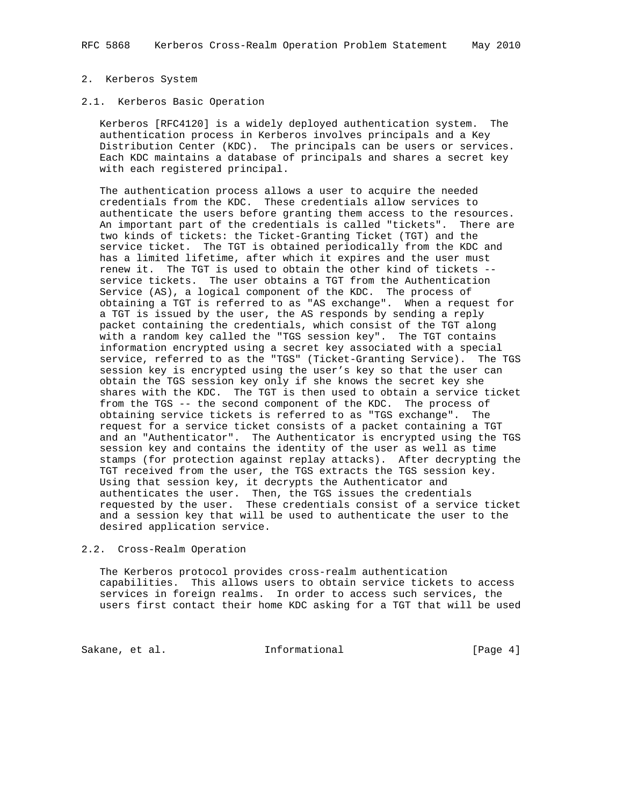#### 2. Kerberos System

### 2.1. Kerberos Basic Operation

 Kerberos [RFC4120] is a widely deployed authentication system. The authentication process in Kerberos involves principals and a Key Distribution Center (KDC). The principals can be users or services. Each KDC maintains a database of principals and shares a secret key with each registered principal.

 The authentication process allows a user to acquire the needed credentials from the KDC. These credentials allow services to authenticate the users before granting them access to the resources. An important part of the credentials is called "tickets". There are two kinds of tickets: the Ticket-Granting Ticket (TGT) and the service ticket. The TGT is obtained periodically from the KDC and has a limited lifetime, after which it expires and the user must renew it. The TGT is used to obtain the other kind of tickets - service tickets. The user obtains a TGT from the Authentication Service (AS), a logical component of the KDC. The process of obtaining a TGT is referred to as "AS exchange". When a request for a TGT is issued by the user, the AS responds by sending a reply packet containing the credentials, which consist of the TGT along with a random key called the "TGS session key". The TGT contains information encrypted using a secret key associated with a special service, referred to as the "TGS" (Ticket-Granting Service). The TGS session key is encrypted using the user's key so that the user can obtain the TGS session key only if she knows the secret key she shares with the KDC. The TGT is then used to obtain a service ticket from the TGS -- the second component of the KDC. The process of obtaining service tickets is referred to as "TGS exchange". The request for a service ticket consists of a packet containing a TGT and an "Authenticator". The Authenticator is encrypted using the TGS session key and contains the identity of the user as well as time stamps (for protection against replay attacks). After decrypting the TGT received from the user, the TGS extracts the TGS session key. Using that session key, it decrypts the Authenticator and authenticates the user. Then, the TGS issues the credentials requested by the user. These credentials consist of a service ticket and a session key that will be used to authenticate the user to the desired application service.

#### 2.2. Cross-Realm Operation

 The Kerberos protocol provides cross-realm authentication capabilities. This allows users to obtain service tickets to access services in foreign realms. In order to access such services, the users first contact their home KDC asking for a TGT that will be used

Sakane, et al. Informational [Page 4]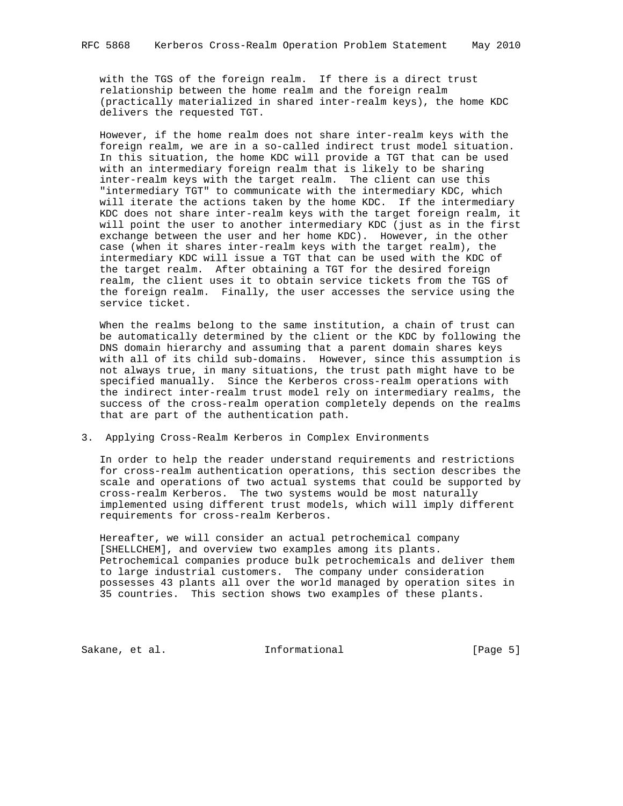with the TGS of the foreign realm. If there is a direct trust relationship between the home realm and the foreign realm (practically materialized in shared inter-realm keys), the home KDC delivers the requested TGT.

 However, if the home realm does not share inter-realm keys with the foreign realm, we are in a so-called indirect trust model situation. In this situation, the home KDC will provide a TGT that can be used with an intermediary foreign realm that is likely to be sharing inter-realm keys with the target realm. The client can use this "intermediary TGT" to communicate with the intermediary KDC, which will iterate the actions taken by the home KDC. If the intermediary KDC does not share inter-realm keys with the target foreign realm, it will point the user to another intermediary KDC (just as in the first exchange between the user and her home KDC). However, in the other case (when it shares inter-realm keys with the target realm), the intermediary KDC will issue a TGT that can be used with the KDC of the target realm. After obtaining a TGT for the desired foreign realm, the client uses it to obtain service tickets from the TGS of the foreign realm. Finally, the user accesses the service using the service ticket.

 When the realms belong to the same institution, a chain of trust can be automatically determined by the client or the KDC by following the DNS domain hierarchy and assuming that a parent domain shares keys with all of its child sub-domains. However, since this assumption is not always true, in many situations, the trust path might have to be specified manually. Since the Kerberos cross-realm operations with the indirect inter-realm trust model rely on intermediary realms, the success of the cross-realm operation completely depends on the realms that are part of the authentication path.

3. Applying Cross-Realm Kerberos in Complex Environments

 In order to help the reader understand requirements and restrictions for cross-realm authentication operations, this section describes the scale and operations of two actual systems that could be supported by cross-realm Kerberos. The two systems would be most naturally implemented using different trust models, which will imply different requirements for cross-realm Kerberos.

 Hereafter, we will consider an actual petrochemical company [SHELLCHEM], and overview two examples among its plants. Petrochemical companies produce bulk petrochemicals and deliver them to large industrial customers. The company under consideration possesses 43 plants all over the world managed by operation sites in 35 countries. This section shows two examples of these plants.

Sakane, et al. Informational [Page 5]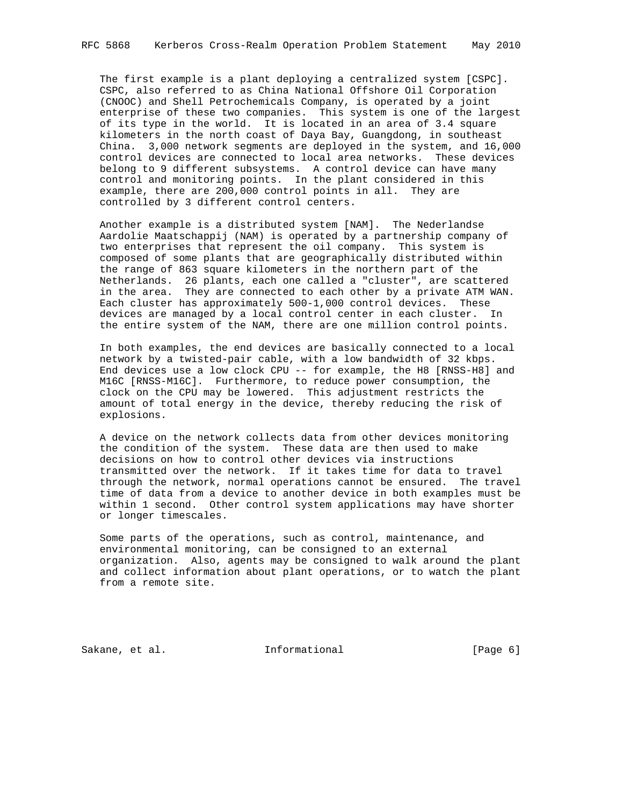The first example is a plant deploying a centralized system [CSPC]. CSPC, also referred to as China National Offshore Oil Corporation (CNOOC) and Shell Petrochemicals Company, is operated by a joint enterprise of these two companies. This system is one of the largest of its type in the world. It is located in an area of 3.4 square kilometers in the north coast of Daya Bay, Guangdong, in southeast China. 3,000 network segments are deployed in the system, and 16,000 control devices are connected to local area networks. These devices belong to 9 different subsystems. A control device can have many control and monitoring points. In the plant considered in this example, there are 200,000 control points in all. They are controlled by 3 different control centers.

 Another example is a distributed system [NAM]. The Nederlandse Aardolie Maatschappij (NAM) is operated by a partnership company of two enterprises that represent the oil company. This system is composed of some plants that are geographically distributed within the range of 863 square kilometers in the northern part of the Netherlands. 26 plants, each one called a "cluster", are scattered in the area. They are connected to each other by a private ATM WAN. Each cluster has approximately 500-1,000 control devices. These devices are managed by a local control center in each cluster. In the entire system of the NAM, there are one million control points.

 In both examples, the end devices are basically connected to a local network by a twisted-pair cable, with a low bandwidth of 32 kbps. End devices use a low clock CPU -- for example, the H8 [RNSS-H8] and M16C [RNSS-M16C]. Furthermore, to reduce power consumption, the clock on the CPU may be lowered. This adjustment restricts the amount of total energy in the device, thereby reducing the risk of explosions.

 A device on the network collects data from other devices monitoring the condition of the system. These data are then used to make decisions on how to control other devices via instructions transmitted over the network. If it takes time for data to travel through the network, normal operations cannot be ensured. The travel time of data from a device to another device in both examples must be within 1 second. Other control system applications may have shorter or longer timescales.

 Some parts of the operations, such as control, maintenance, and environmental monitoring, can be consigned to an external organization. Also, agents may be consigned to walk around the plant and collect information about plant operations, or to watch the plant from a remote site.

Sakane, et al. 1nformational [Page 6]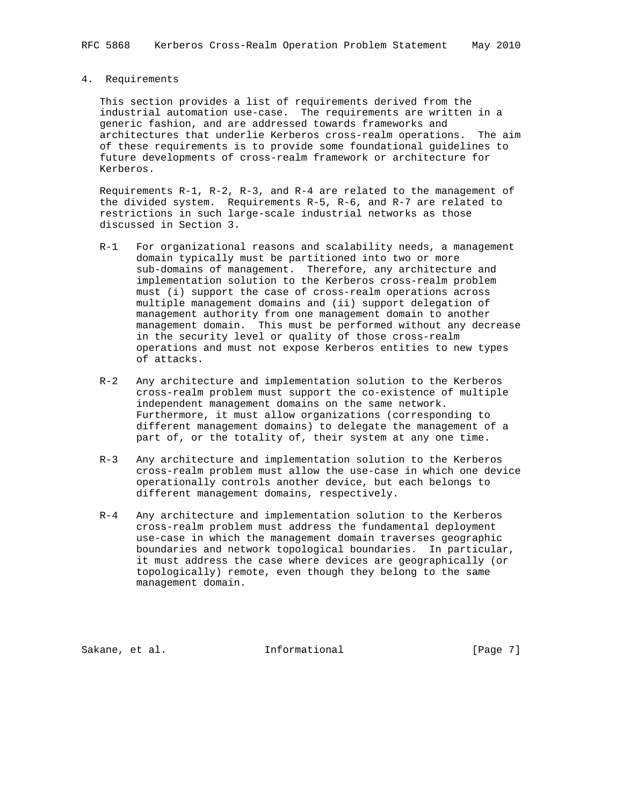# 4. Requirements

 This section provides a list of requirements derived from the industrial automation use-case. The requirements are written in a generic fashion, and are addressed towards frameworks and architectures that underlie Kerberos cross-realm operations. The aim of these requirements is to provide some foundational guidelines to future developments of cross-realm framework or architecture for Kerberos.

 Requirements R-1, R-2, R-3, and R-4 are related to the management of the divided system. Requirements R-5, R-6, and R-7 are related to restrictions in such large-scale industrial networks as those discussed in Section 3.

- R-1 For organizational reasons and scalability needs, a management domain typically must be partitioned into two or more sub-domains of management. Therefore, any architecture and implementation solution to the Kerberos cross-realm problem must (i) support the case of cross-realm operations across multiple management domains and (ii) support delegation of management authority from one management domain to another management domain. This must be performed without any decrease in the security level or quality of those cross-realm operations and must not expose Kerberos entities to new types of attacks.
- R-2 Any architecture and implementation solution to the Kerberos cross-realm problem must support the co-existence of multiple independent management domains on the same network. Furthermore, it must allow organizations (corresponding to different management domains) to delegate the management of a part of, or the totality of, their system at any one time.
- R-3 Any architecture and implementation solution to the Kerberos cross-realm problem must allow the use-case in which one device operationally controls another device, but each belongs to different management domains, respectively.
- R-4 Any architecture and implementation solution to the Kerberos cross-realm problem must address the fundamental deployment use-case in which the management domain traverses geographic boundaries and network topological boundaries. In particular, it must address the case where devices are geographically (or topologically) remote, even though they belong to the same management domain.

Sakane, et al. Informational [Page 7]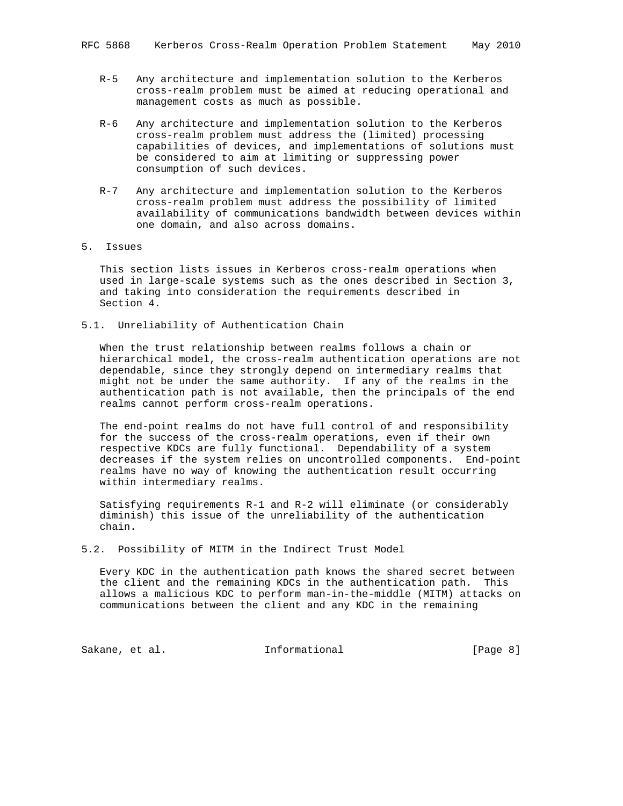- R-5 Any architecture and implementation solution to the Kerberos cross-realm problem must be aimed at reducing operational and management costs as much as possible.
- R-6 Any architecture and implementation solution to the Kerberos cross-realm problem must address the (limited) processing capabilities of devices, and implementations of solutions must be considered to aim at limiting or suppressing power consumption of such devices.
- R-7 Any architecture and implementation solution to the Kerberos cross-realm problem must address the possibility of limited availability of communications bandwidth between devices within one domain, and also across domains.
- 5. Issues

 This section lists issues in Kerberos cross-realm operations when used in large-scale systems such as the ones described in Section 3, and taking into consideration the requirements described in Section 4.

5.1. Unreliability of Authentication Chain

 When the trust relationship between realms follows a chain or hierarchical model, the cross-realm authentication operations are not dependable, since they strongly depend on intermediary realms that might not be under the same authority. If any of the realms in the authentication path is not available, then the principals of the end realms cannot perform cross-realm operations.

 The end-point realms do not have full control of and responsibility for the success of the cross-realm operations, even if their own respective KDCs are fully functional. Dependability of a system decreases if the system relies on uncontrolled components. End-point realms have no way of knowing the authentication result occurring within intermediary realms.

 Satisfying requirements R-1 and R-2 will eliminate (or considerably diminish) this issue of the unreliability of the authentication chain.

5.2. Possibility of MITM in the Indirect Trust Model

 Every KDC in the authentication path knows the shared secret between the client and the remaining KDCs in the authentication path. This allows a malicious KDC to perform man-in-the-middle (MITM) attacks on communications between the client and any KDC in the remaining

Sakane, et al. The informational the same same (Page 8)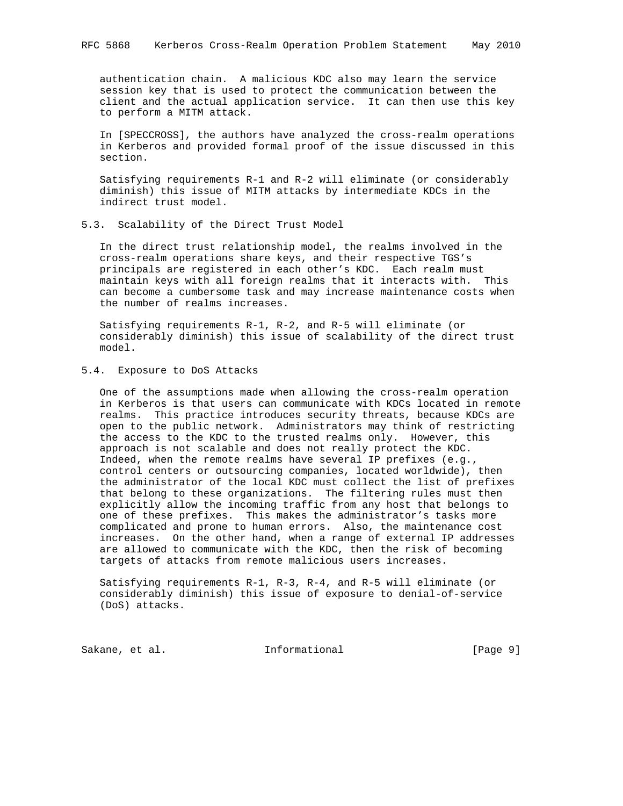authentication chain. A malicious KDC also may learn the service session key that is used to protect the communication between the client and the actual application service. It can then use this key to perform a MITM attack.

 In [SPECCROSS], the authors have analyzed the cross-realm operations in Kerberos and provided formal proof of the issue discussed in this section.

 Satisfying requirements R-1 and R-2 will eliminate (or considerably diminish) this issue of MITM attacks by intermediate KDCs in the indirect trust model.

#### 5.3. Scalability of the Direct Trust Model

 In the direct trust relationship model, the realms involved in the cross-realm operations share keys, and their respective TGS's principals are registered in each other's KDC. Each realm must maintain keys with all foreign realms that it interacts with. This can become a cumbersome task and may increase maintenance costs when the number of realms increases.

 Satisfying requirements R-1, R-2, and R-5 will eliminate (or considerably diminish) this issue of scalability of the direct trust model.

### 5.4. Exposure to DoS Attacks

 One of the assumptions made when allowing the cross-realm operation in Kerberos is that users can communicate with KDCs located in remote realms. This practice introduces security threats, because KDCs are open to the public network. Administrators may think of restricting the access to the KDC to the trusted realms only. However, this approach is not scalable and does not really protect the KDC. Indeed, when the remote realms have several IP prefixes (e.g., control centers or outsourcing companies, located worldwide), then the administrator of the local KDC must collect the list of prefixes that belong to these organizations. The filtering rules must then explicitly allow the incoming traffic from any host that belongs to one of these prefixes. This makes the administrator's tasks more complicated and prone to human errors. Also, the maintenance cost increases. On the other hand, when a range of external IP addresses are allowed to communicate with the KDC, then the risk of becoming targets of attacks from remote malicious users increases.

 Satisfying requirements R-1, R-3, R-4, and R-5 will eliminate (or considerably diminish) this issue of exposure to denial-of-service (DoS) attacks.

Sakane, et al. The informational the same of  $[Page 9]$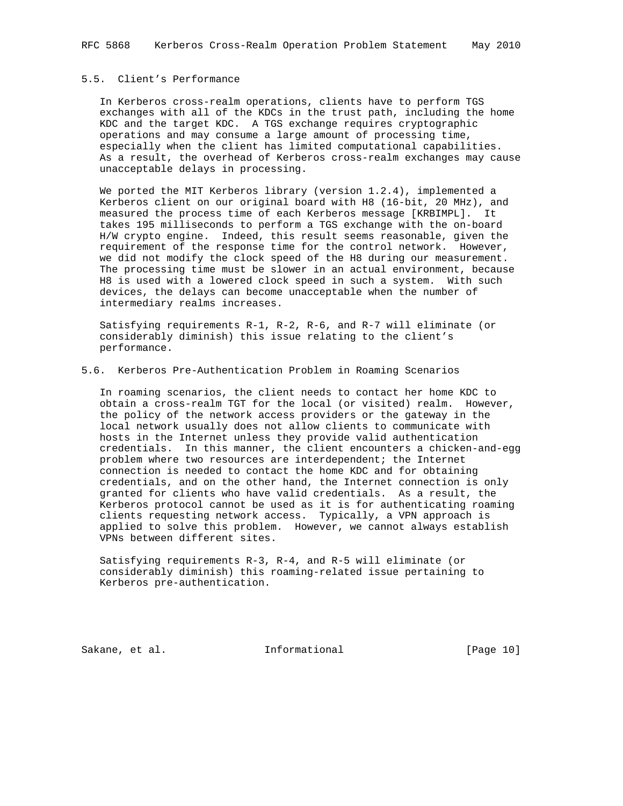# 5.5. Client's Performance

 In Kerberos cross-realm operations, clients have to perform TGS exchanges with all of the KDCs in the trust path, including the home KDC and the target KDC. A TGS exchange requires cryptographic operations and may consume a large amount of processing time, especially when the client has limited computational capabilities. As a result, the overhead of Kerberos cross-realm exchanges may cause unacceptable delays in processing.

 We ported the MIT Kerberos library (version 1.2.4), implemented a Kerberos client on our original board with H8 (16-bit, 20 MHz), and measured the process time of each Kerberos message [KRBIMPL]. It takes 195 milliseconds to perform a TGS exchange with the on-board H/W crypto engine. Indeed, this result seems reasonable, given the requirement of the response time for the control network. However, we did not modify the clock speed of the H8 during our measurement. The processing time must be slower in an actual environment, because H8 is used with a lowered clock speed in such a system. With such devices, the delays can become unacceptable when the number of intermediary realms increases.

 Satisfying requirements R-1, R-2, R-6, and R-7 will eliminate (or considerably diminish) this issue relating to the client's performance.

# 5.6. Kerberos Pre-Authentication Problem in Roaming Scenarios

 In roaming scenarios, the client needs to contact her home KDC to obtain a cross-realm TGT for the local (or visited) realm. However, the policy of the network access providers or the gateway in the local network usually does not allow clients to communicate with hosts in the Internet unless they provide valid authentication credentials. In this manner, the client encounters a chicken-and-egg problem where two resources are interdependent; the Internet connection is needed to contact the home KDC and for obtaining credentials, and on the other hand, the Internet connection is only granted for clients who have valid credentials. As a result, the Kerberos protocol cannot be used as it is for authenticating roaming clients requesting network access. Typically, a VPN approach is applied to solve this problem. However, we cannot always establish VPNs between different sites.

 Satisfying requirements R-3, R-4, and R-5 will eliminate (or considerably diminish) this roaming-related issue pertaining to Kerberos pre-authentication.

Sakane, et al. Informational [Page 10]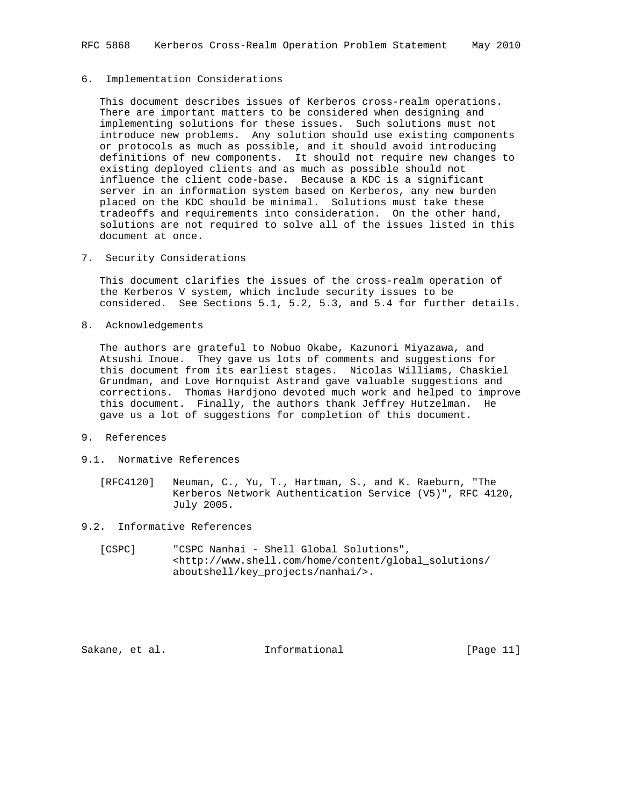### 6. Implementation Considerations

 This document describes issues of Kerberos cross-realm operations. There are important matters to be considered when designing and implementing solutions for these issues. Such solutions must not introduce new problems. Any solution should use existing components or protocols as much as possible, and it should avoid introducing definitions of new components. It should not require new changes to existing deployed clients and as much as possible should not influence the client code-base. Because a KDC is a significant server in an information system based on Kerberos, any new burden placed on the KDC should be minimal. Solutions must take these tradeoffs and requirements into consideration. On the other hand, solutions are not required to solve all of the issues listed in this document at once.

7. Security Considerations

 This document clarifies the issues of the cross-realm operation of the Kerberos V system, which include security issues to be considered. See Sections 5.1, 5.2, 5.3, and 5.4 for further details.

8. Acknowledgements

 The authors are grateful to Nobuo Okabe, Kazunori Miyazawa, and Atsushi Inoue. They gave us lots of comments and suggestions for this document from its earliest stages. Nicolas Williams, Chaskiel Grundman, and Love Hornquist Astrand gave valuable suggestions and corrections. Thomas Hardjono devoted much work and helped to improve this document. Finally, the authors thank Jeffrey Hutzelman. He gave us a lot of suggestions for completion of this document.

- 9. References
- 9.1. Normative References
	- [RFC4120] Neuman, C., Yu, T., Hartman, S., and K. Raeburn, "The Kerberos Network Authentication Service (V5)", RFC 4120, July 2005.
- 9.2. Informative References
	- [CSPC] "CSPC Nanhai Shell Global Solutions", <http://www.shell.com/home/content/global\_solutions/ aboutshell/key\_projects/nanhai/>.

Sakane, et al. Informational [Page 11]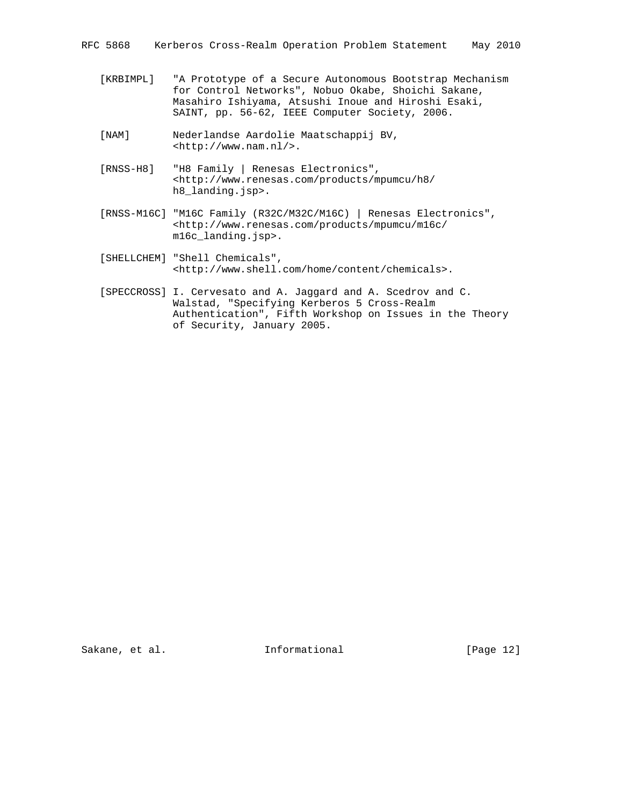- [KRBIMPL] "A Prototype of a Secure Autonomous Bootstrap Mechanism for Control Networks", Nobuo Okabe, Shoichi Sakane, Masahiro Ishiyama, Atsushi Inoue and Hiroshi Esaki, SAINT, pp. 56-62, IEEE Computer Society, 2006.
- [NAM] Nederlandse Aardolie Maatschappij BV, <http://www.nam.nl/>.
- [RNSS-H8] "H8 Family | Renesas Electronics", <http://www.renesas.com/products/mpumcu/h8/ h8\_landing.jsp>.
- [RNSS-M16C] "M16C Family (R32C/M32C/M16C) | Renesas Electronics", <http://www.renesas.com/products/mpumcu/m16c/ m16c\_landing.jsp>.
- [SHELLCHEM] "Shell Chemicals", <http://www.shell.com/home/content/chemicals>.
- [SPECCROSS] I. Cervesato and A. Jaggard and A. Scedrov and C. Walstad, "Specifying Kerberos 5 Cross-Realm Authentication", Fifth Workshop on Issues in the Theory of Security, January 2005.